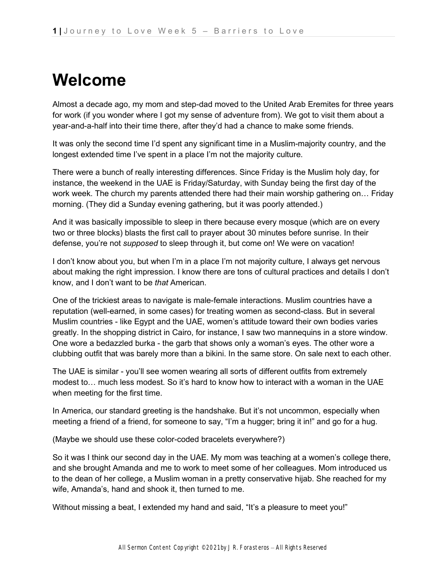## **Welcome**

Almost a decade ago, my mom and step-dad moved to the United Arab Eremites for three years for work (if you wonder where I got my sense of adventure from). We got to visit them about a year-and-a-half into their time there, after they'd had a chance to make some friends.

It was only the second time I'd spent any significant time in a Muslim-majority country, and the longest extended time I've spent in a place I'm not the majority culture.

There were a bunch of really interesting differences. Since Friday is the Muslim holy day, for instance, the weekend in the UAE is Friday/Saturday, with Sunday being the first day of the work week. The church my parents attended there had their main worship gathering on… Friday morning. (They did a Sunday evening gathering, but it was poorly attended.)

And it was basically impossible to sleep in there because every mosque (which are on every two or three blocks) blasts the first call to prayer about 30 minutes before sunrise. In their defense, you're not *supposed* to sleep through it, but come on! We were on vacation!

I don't know about you, but when I'm in a place I'm not majority culture, I always get nervous about making the right impression. I know there are tons of cultural practices and details I don't know, and I don't want to be *that* American.

One of the trickiest areas to navigate is male-female interactions. Muslim countries have a reputation (well-earned, in some cases) for treating women as second-class. But in several Muslim countries - like Egypt and the UAE, women's attitude toward their own bodies varies greatly. In the shopping district in Cairo, for instance, I saw two mannequins in a store window. One wore a bedazzled burka - the garb that shows only a woman's eyes. The other wore a clubbing outfit that was barely more than a bikini. In the same store. On sale next to each other.

The UAE is similar - you'll see women wearing all sorts of different outfits from extremely modest to… much less modest. So it's hard to know how to interact with a woman in the UAE when meeting for the first time.

In America, our standard greeting is the handshake. But it's not uncommon, especially when meeting a friend of a friend, for someone to say, "I'm a hugger; bring it in!" and go for a hug.

(Maybe we should use these color-coded bracelets everywhere?)

So it was I think our second day in the UAE. My mom was teaching at a women's college there, and she brought Amanda and me to work to meet some of her colleagues. Mom introduced us to the dean of her college, a Muslim woman in a pretty conservative hijab. She reached for my wife, Amanda's, hand and shook it, then turned to me.

Without missing a beat, I extended my hand and said, "It's a pleasure to meet you!"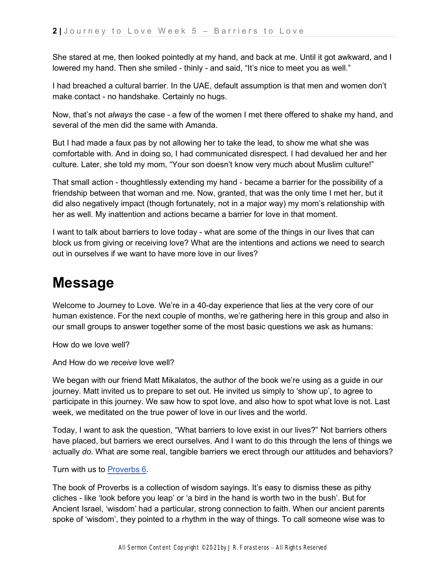She stared at me, then looked pointedly at my hand, and back at me. Until it got awkward, and I lowered my hand. Then she smiled - thinly - and said, "It's nice to meet you as well."

I had breached a cultural barrier. In the UAE, default assumption is that men and women don't make contact - no handshake. Certainly no hugs.

Now, that's not *always* the case - a few of the women I met there offered to shake my hand, and several of the men did the same with Amanda.

But I had made a faux pas by not allowing her to take the lead, to show me what she was comfortable with. And in doing so, I had communicated disrespect. I had devalued her and her culture. Later, she told my mom, "Your son doesn't know very much about Muslim culture!"

That small action - thoughtlessly extending my hand - became a barrier for the possibility of a friendship between that woman and me. Now, granted, that was the only time I met her, but it did also negatively impact (though fortunately, not in a major way) my mom's relationship with her as well. My inattention and actions became a barrier for love in that moment.

I want to talk about barriers to love today - what are some of the things in our lives that can block us from giving or receiving love? What are the intentions and actions we need to search out in ourselves if we want to have more love in our lives?

## **Message**

Welcome to Journey to Love. We're in a 40-day experience that lies at the very core of our human existence. For the next couple of months, we're gathering here in this group and also in our small groups to answer together some of the most basic questions we ask as humans:

How do we love well?

And How do we *receive* love well?

We began with our friend Matt Mikalatos, the author of the book we're using as a guide in our journey. Matt invited us to prepare to set out. He invited us simply to 'show up', to agree to participate in this journey. We saw how to spot love, and also how to spot what love is not. Last week, we meditated on the true power of love in our lives and the world.

Today, I want to ask the question, "What barriers to love exist in our lives?" Not barriers others have placed, but barriers we erect ourselves. And I want to do this through the lens of things we actually *do*. What are some real, tangible barriers we erect through our attitudes and behaviors?

Turn with us t[o](https://ref.ly/logosref/bible$2Bnlt.20.6) [Proverbs 6.](https://ref.ly/logosref/bible$2Bnlt.20.6)

The book of Proverbs is a collection of wisdom sayings. It's easy to dismiss these as pithy cliches - like 'look before you leap' or 'a bird in the hand is worth two in the bush'. But for Ancient Israel, 'wisdom' had a particular, strong connection to faith. When our ancient parents spoke of 'wisdom', they pointed to a rhythm in the way of things. To call someone wise was to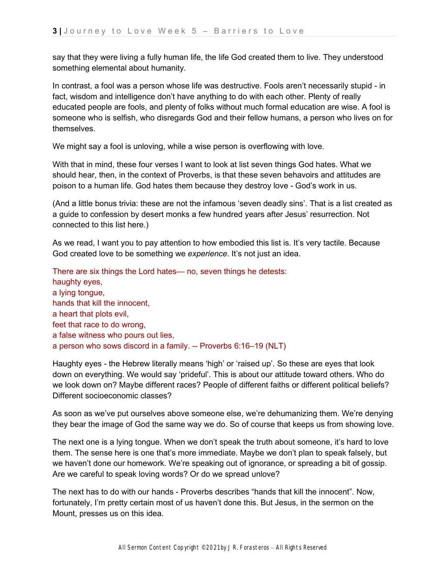say that they were living a fully human life, the life God created them to live. They understood something elemental about humanity.

In contrast, a fool was a person whose life was destructive. Fools aren't necessarily stupid - in fact, wisdom and intelligence don't have anything to do with each other. Plenty of really educated people are fools, and plenty of folks without much formal education are wise. A fool is someone who is selfish, who disregards God and their fellow humans, a person who lives on for themselves.

We might say a fool is unloving, while a wise person is overflowing with love.

With that in mind, these four verses I want to look at list seven things God hates. What we should hear, then, in the context of Proverbs, is that these seven behavoirs and attitudes are poison to a human life. God hates them because they destroy love - God's work in us.

(And a little bonus trivia: these are not the infamous 'seven deadly sins'. That is a list created as a guide to confession by desert monks a few hundred years after Jesus' resurrection. Not connected to this list here.)

As we read, I want you to pay attention to how embodied this list is. It's very tactile. Because God created love to be something we *experience*. It's not just an idea.

There are six things the Lord hates— no, seven things he detests: haughty eyes, a lying tongue, hands that kill the innocent, a heart that plots evil, feet that race to do wrong, a false witness who pours out lies, a person who sows discord in a family. -- Proverbs 6:16–19 (NLT)

Haughty eyes - the Hebrew literally means 'high' or 'raised up'. So these are eyes that look down on everything. We would say 'prideful'. This is about our attitude toward others. Who do we look down on? Maybe different races? People of different faiths or different political beliefs? Different socioeconomic classes?

As soon as we've put ourselves above someone else, we're dehumanizing them. We're denying they bear the image of God the same way we do. So of course that keeps us from showing love.

The next one is a lying tongue. When we don't speak the truth about someone, it's hard to love them. The sense here is one that's more immediate. Maybe we don't plan to speak falsely, but we haven't done our homework. We're speaking out of ignorance, or spreading a bit of gossip. Are we careful to speak loving words? Or do we spread unlove?

The next has to do with our hands - Proverbs describes "hands that kill the innocent". Now, fortunately, I'm pretty certain most of us haven't done this. But Jesus, in the sermon on the Mount, presses us on this idea.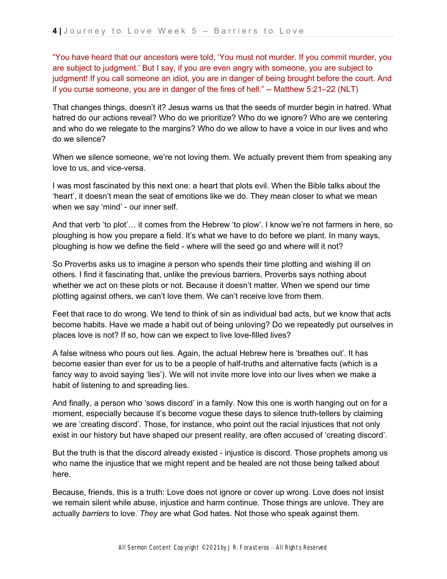"You have heard that our ancestors were told, 'You must not murder. If you commit murder, you are subject to judgment.' But I say, if you are even angry with someone, you are subject to judgment! If you call someone an idiot, you are in danger of being brought before the court. And if you curse someone, you are in danger of the fires of hell." -- Matthew 5:21–22 (NLT)

That changes things, doesn't it? Jesus warns us that the seeds of murder begin in hatred. What hatred do our actions reveal? Who do we prioritize? Who do we ignore? Who are we centering and who do we relegate to the margins? Who do we allow to have a voice in our lives and who do we silence?

When we silence someone, we're not loving them. We actually prevent them from speaking any love to us, and vice-versa.

I was most fascinated by this next one: a heart that plots evil. When the Bible talks about the 'heart', it doesn't mean the seat of emotions like we do. They mean closer to what we mean when we say 'mind' - our inner self.

And that verb 'to plot'… it comes from the Hebrew 'to plow'. I know we're not farmers in here, so ploughing is how you prepare a field. It's what we have to do before we plant. In many ways, ploughing is how we define the field - where will the seed go and where will it not?

So Proverbs asks us to imagine a person who spends their time plotting and wishing ill on others. I find it fascinating that, unlike the previous barriers, Proverbs says nothing about whether we act on these plots or not. Because it doesn't matter. When we spend our time plotting against others, we can't love them. We can't receive love from them.

Feet that race to do wrong. We tend to think of sin as individual bad acts, but we know that acts become habits. Have we made a habit out of being unloving? Do we repeatedly put ourselves in places love is not? If so, how can we expect to live love-filled lives?

A false witness who pours out lies. Again, the actual Hebrew here is 'breathes out'. It has become easier than ever for us to be a people of half-truths and alternative facts (which is a fancy way to avoid saying 'lies'). We will not invite more love into our lives when we make a habit of listening to and spreading lies.

And finally, a person who 'sows discord' in a family. Now this one is worth hanging out on for a moment, especially because it's become vogue these days to silence truth-tellers by claiming we are 'creating discord'. Those, for instance, who point out the racial injustices that not only exist in our history but have shaped our present reality, are often accused of 'creating discord'.

But the truth is that the discord already existed - injustice is discord. Those prophets among us who name the injustice that we might repent and be healed are not those being talked about here.

Because, friends, this is a truth: Love does not ignore or cover up wrong. Love does not insist we remain silent while abuse, injustice and harm continue. Those things are unlove. They are actually *barriers* to love. *They* are what God hates. Not those who speak against them.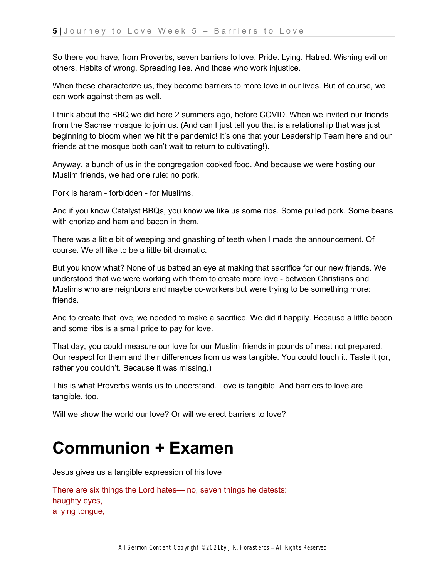So there you have, from Proverbs, seven barriers to love. Pride. Lying. Hatred. Wishing evil on others. Habits of wrong. Spreading lies. And those who work injustice.

When these characterize us, they become barriers to more love in our lives. But of course, we can work against them as well.

I think about the BBQ we did here 2 summers ago, before COVID. When we invited our friends from the Sachse mosque to join us. (And can I just tell you that is a relationship that was just beginning to bloom when we hit the pandemic! It's one that your Leadership Team here and our friends at the mosque both can't wait to return to cultivating!).

Anyway, a bunch of us in the congregation cooked food. And because we were hosting our Muslim friends, we had one rule: no pork.

Pork is haram - forbidden - for Muslims.

And if you know Catalyst BBQs, you know we like us some ribs. Some pulled pork. Some beans with chorizo and ham and bacon in them.

There was a little bit of weeping and gnashing of teeth when I made the announcement. Of course. We all like to be a little bit dramatic.

But you know what? None of us batted an eye at making that sacrifice for our new friends. We understood that we were working with them to create more love - between Christians and Muslims who are neighbors and maybe co-workers but were trying to be something more: friends.

And to create that love, we needed to make a sacrifice. We did it happily. Because a little bacon and some ribs is a small price to pay for love.

That day, you could measure our love for our Muslim friends in pounds of meat not prepared. Our respect for them and their differences from us was tangible. You could touch it. Taste it (or, rather you couldn't. Because it was missing.)

This is what Proverbs wants us to understand. Love is tangible. And barriers to love are tangible, too.

Will we show the world our love? Or will we erect barriers to love?

## **Communion + Examen**

Jesus gives us a tangible expression of his love

There are six things the Lord hates— no, seven things he detests: haughty eyes, a lying tongue,